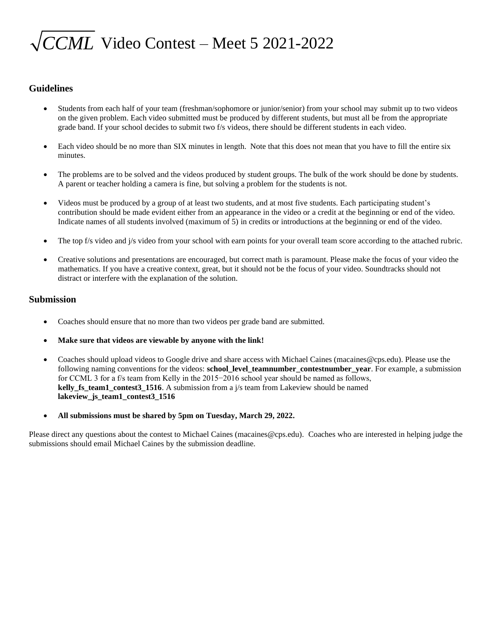# *CCML* Video Contest – Meet 5 2021-2022

### **Guidelines**

- Students from each half of your team (freshman/sophomore or junior/senior) from your school may submit up to two videos on the given problem. Each video submitted must be produced by different students, but must all be from the appropriate grade band. If your school decides to submit two f/s videos, there should be different students in each video.
- Each video should be no more than SIX minutes in length. Note that this does not mean that you have to fill the entire six minutes.
- The problems are to be solved and the videos produced by student groups. The bulk of the work should be done by students. A parent or teacher holding a camera is fine, but solving a problem for the students is not.
- Videos must be produced by a group of at least two students, and at most five students. Each participating student's contribution should be made evident either from an appearance in the video or a credit at the beginning or end of the video. Indicate names of all students involved (maximum of 5) in credits or introductions at the beginning or end of the video.
- The top f/s video and j/s video from your school with earn points for your overall team score according to the attached rubric.
- Creative solutions and presentations are encouraged, but correct math is paramount. Please make the focus of your video the mathematics. If you have a creative context, great, but it should not be the focus of your video. Soundtracks should not distract or interfere with the explanation of the solution.

#### **Submission**

- Coaches should ensure that no more than two videos per grade band are submitted.
- **Make sure that videos are viewable by anyone with the link!**
- Coaches should upload videos to Google drive and share access with Michael Caines (macaines@cps.edu). Please use the following naming conventions for the videos: **school level teamnumber contestnumber year**. For example, a submission for CCML 3 for a f/s team from Kelly in the 2015−2016 school year should be named as follows, **kelly\_fs\_team1\_contest3\_1516**. A submission from a j/s team from Lakeview should be named **lakeview\_js\_team1\_contest3\_1516**
- **All submissions must be shared by 5pm on Tuesday, March 29, 2022.**

Please direct any questions about the contest to Michael Caines (macaines@cps.edu). Coaches who are interested in helping judge the submissions should email Michael Caines by the submission deadline.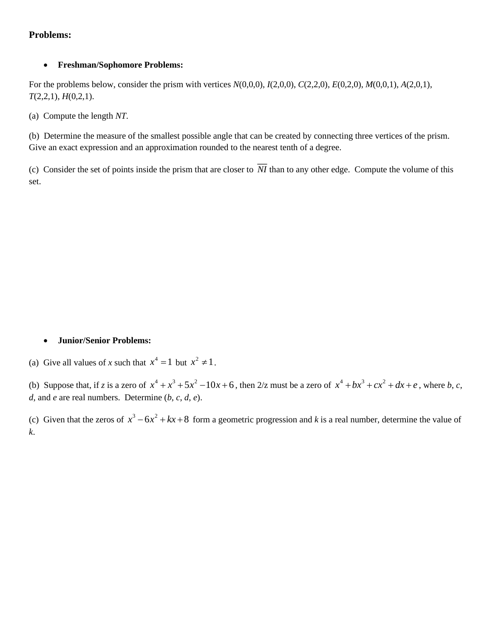# **Problems:**

## • **Freshman/Sophomore Problems:**

For the problems below, consider the prism with vertices *N*(0,0,0), *I*(2,0,0), *C*(2,2,0), *E*(0,2,0), *M*(0,0,1), *A*(2,0,1), *T*(2,2,1), *H*(0,2,1).

(a) Compute the length *NT*.

(b) Determine the measure of the smallest possible angle that can be created by connecting three vertices of the prism. Give an exact expression and an approximation rounded to the nearest tenth of a degree.

(c) Consider the set of points inside the prism that are closer to *NI* than to any other edge. Compute the volume of this set.

## • **Junior/Senior Problems:**

(a) Give all values of *x* such that  $x^4 = 1$  but  $x^2 \neq 1$ .

(b) Suppose that, if *z* is a zero of  $x^4 + x^3 + 5x^2 - 10x + 6$ , then 2/z must be a zero of  $x^4 + bx^3 + cx^2 + dx + e$ , where *b*, *c*, *d*, and *e* are real numbers. Determine (*b*, *c*, *d*, *e*).

(c) Given that the zeros of  $x^3 - 6x^2 + kx + 8$  form a geometric progression and k is a real number, determine the value of *k*.